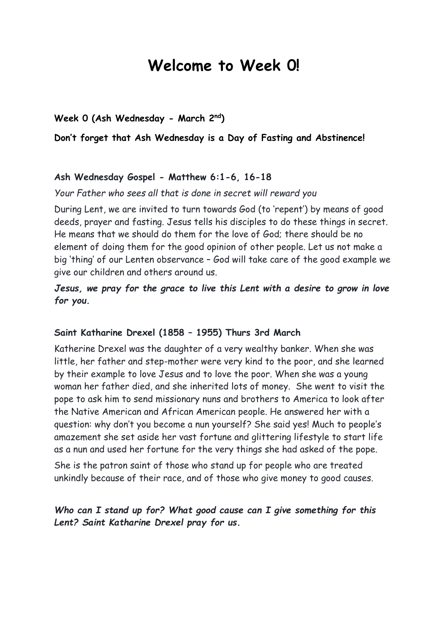# **Welcome to Week 0!**

### **Week 0 (Ash Wednesday - March 2nd)**

#### **Don't forget that Ash Wednesday is a Day of Fasting and Abstinence!**

#### **Ash Wednesday Gospel - Matthew 6:1-6, 16-18**

#### *Your Father who sees all that is done in secret will reward you*

During Lent, we are invited to turn towards God (to 'repent') by means of good deeds, prayer and fasting. Jesus tells his disciples to do these things in secret. He means that we should do them for the love of God; there should be no element of doing them for the good opinion of other people. Let us not make a big 'thing' of our Lenten observance – God will take care of the good example we give our children and others around us.

## *Jesus, we pray for the grace to live this Lent with a desire to grow in love for you.*

## **Saint Katharine Drexel (1858 – 1955) Thurs 3rd March**

Katherine Drexel was the daughter of a very wealthy banker. When she was little, her father and step-mother were very kind to the poor, and she learned by their example to love Jesus and to love the poor. When she was a young woman her father died, and she inherited lots of money. She went to visit the pope to ask him to send missionary nuns and brothers to America to look after the Native American and African American people. He answered her with a question: why don't you become a nun yourself? She said yes! Much to people's amazement she set aside her vast fortune and glittering lifestyle to start life as a nun and used her fortune for the very things she had asked of the pope.

She is the patron saint of those who stand up for people who are treated unkindly because of their race, and of those who give money to good causes.

## *Who can I stand up for? What good cause can I give something for this Lent? Saint Katharine Drexel pray for us.*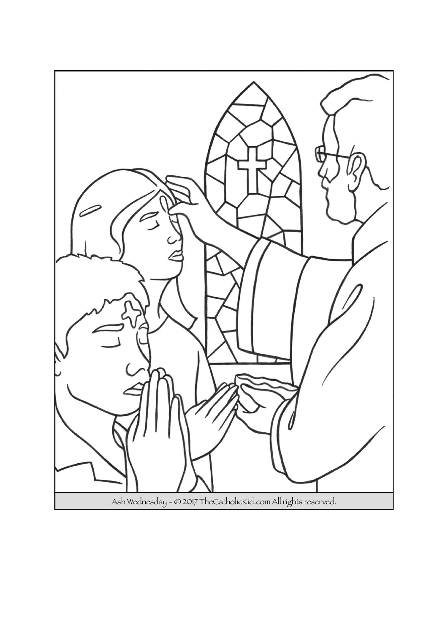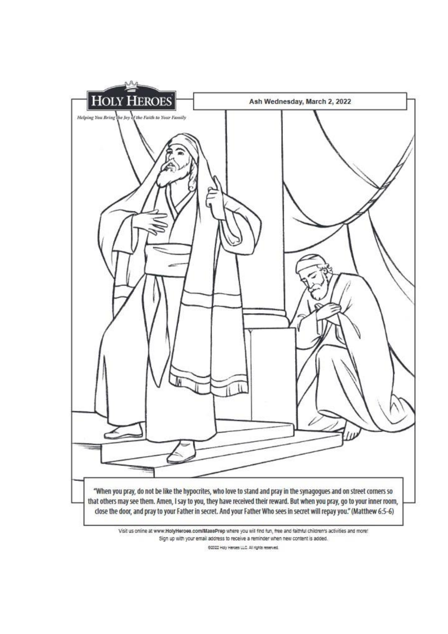

Visit us online at www.HolyHeroes.com/MassPrep where you will find fun, free and faithful children's activities and more! Sign up with your email address to receive a reminder when new content is added.

82022 Holy Heroes LLC. All rights reserved.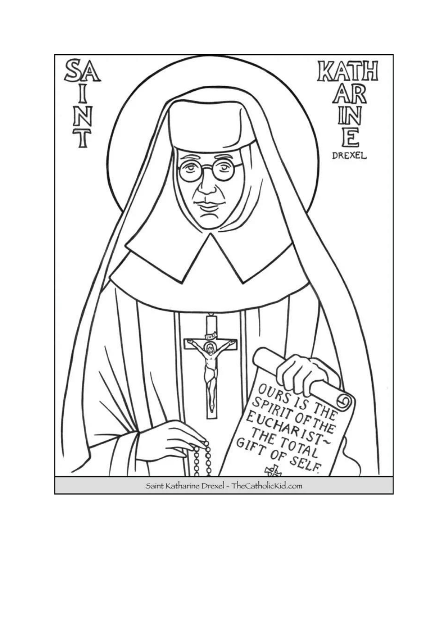